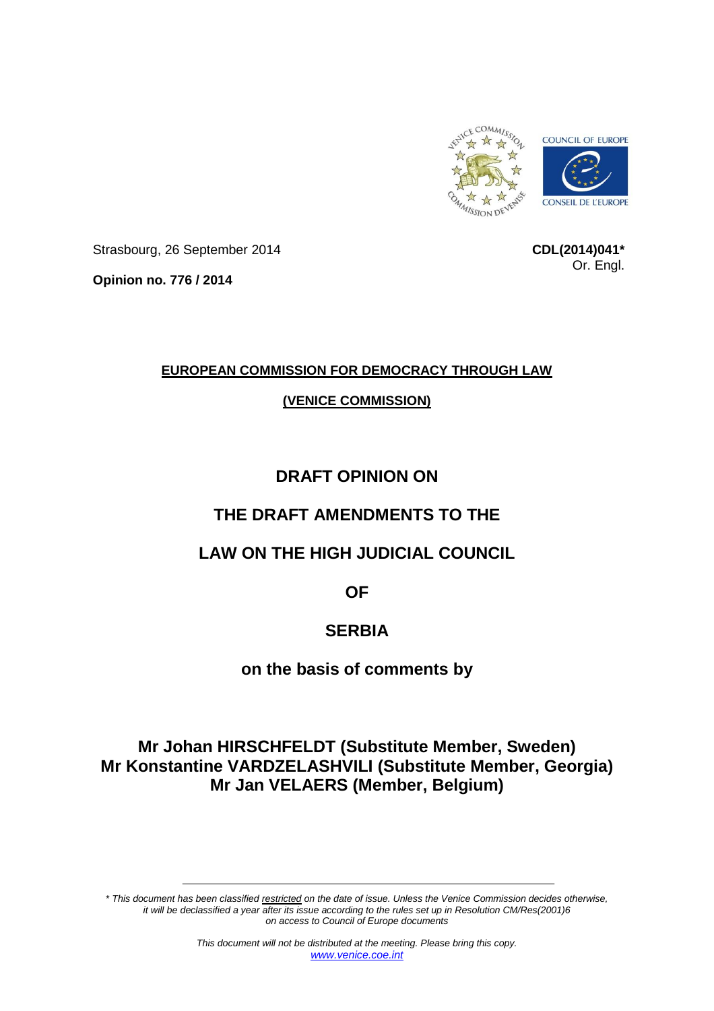

Strasbourg, 26 September 2014

**CDL(2014)041\*** Or. Engl.

**Opinion no. 776 / 2014**

## **EUROPEAN COMMISSION FOR DEMOCRACY THROUGH LAW**

## **(VENICE COMMISSION)**

# **DRAFT OPINION ON**

# **THE DRAFT AMENDMENTS TO THE**

# **LAW ON THE HIGH JUDICIAL COUNCIL**

**OF**

# **SERBIA**

## **on the basis of comments by**

# **Mr Johan HIRSCHFELDT (Substitute Member, Sweden) Mr Konstantine VARDZELASHVILI (Substitute Member, Georgia) Mr Jan VELAERS (Member, Belgium)**

*\* This document has been classified restricted on the date of issue. Unless the Venice Commission decides otherwise, it will be declassified a year after its issue according to the rules set up in Resolution CM/Res(2001)6 on access to Council of Europe documents*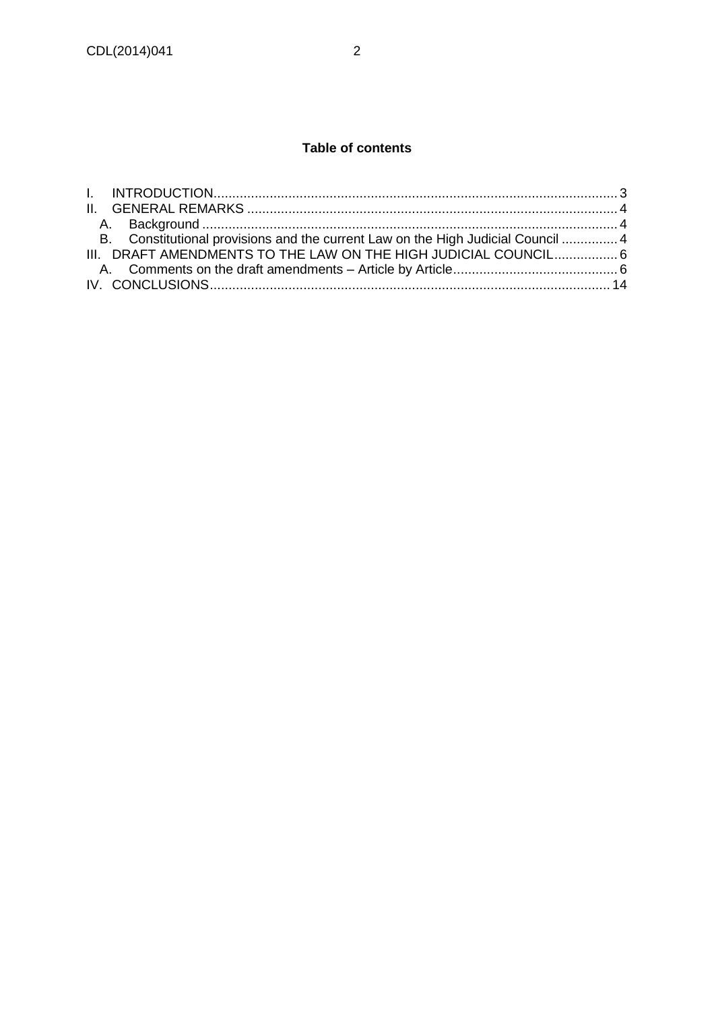## **Table of contents**

| B. Constitutional provisions and the current Law on the High Judicial Council  4 |  |
|----------------------------------------------------------------------------------|--|
| III. DRAFT AMENDMENTS TO THE LAW ON THE HIGH JUDICIAL COUNCIL6                   |  |
|                                                                                  |  |
|                                                                                  |  |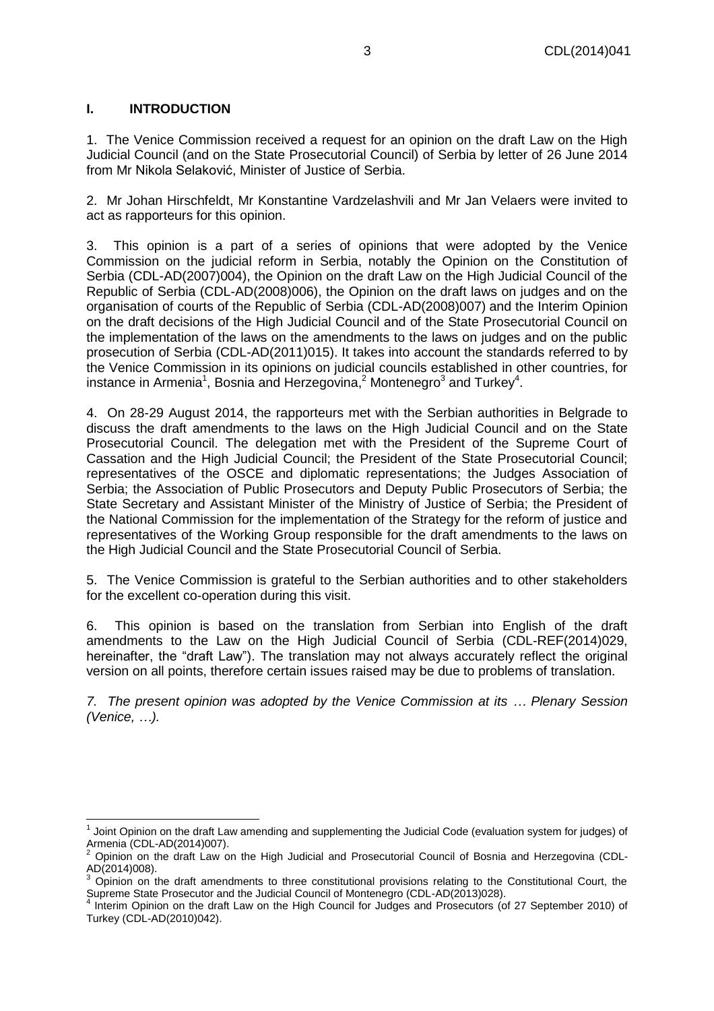### <span id="page-2-0"></span>**I. INTRODUCTION**

1. The Venice Commission received a request for an opinion on the draft Law on the High Judicial Council (and on the State Prosecutorial Council) of Serbia by letter of 26 June 2014 from Mr Nikola Selaković, Minister of Justice of Serbia.

2. Mr Johan Hirschfeldt, Mr Konstantine Vardzelashvili and Mr Jan Velaers were invited to act as rapporteurs for this opinion.

3. This opinion is a part of a series of opinions that were adopted by the Venice Commission on the judicial reform in Serbia, notably the Opinion on the Constitution of Serbia (CDL-AD(2007)004), the Opinion on the draft Law on the High Judicial Council of the Republic of Serbia (CDL-AD(2008)006), the Opinion on the draft laws on judges and on the organisation of courts of the Republic of Serbia (CDL-AD(2008)007) and the [Interim Opinion](http://www.venice.coe.int/webforms/documents/?pdf=CDL-AD(2012)014-e)  [on the draft decisions of the High Judicial Council and of the State Prosecutorial Council on](http://www.venice.coe.int/webforms/documents/?pdf=CDL-AD(2012)014-e)  [the implementation of the laws on the amendments to the laws on judges and on the public](http://www.venice.coe.int/webforms/documents/?pdf=CDL-AD(2012)014-e)  [prosecution of Serbia \(CDL-AD\(2011\)015\).](http://www.venice.coe.int/webforms/documents/?pdf=CDL-AD(2012)014-e) It takes into account the standards referred to by the Venice Commission in its opinions on judicial councils established in other countries, for instance in Armenia<sup>1</sup>, Bosnia and Herzegovina,<sup>2</sup> Montenegro<sup>3</sup> and Turkey<sup>4</sup>.

4. On 28-29 August 2014, the rapporteurs met with the Serbian authorities in Belgrade to discuss the draft amendments to the laws on the High Judicial Council and on the State Prosecutorial Council. The delegation met with the President of the Supreme Court of Cassation and the High Judicial Council; the President of the State Prosecutorial Council; representatives of the OSCE and diplomatic representations; the Judges Association of Serbia; the Association of Public Prosecutors and Deputy Public Prosecutors of Serbia; the State Secretary and Assistant Minister of the Ministry of Justice of Serbia; the President of the National Commission for the implementation of the Strategy for the reform of justice and representatives of the Working Group responsible for the draft amendments to the laws on the High Judicial Council and the State Prosecutorial Council of Serbia.

5. The Venice Commission is grateful to the Serbian authorities and to other stakeholders for the excellent co-operation during this visit.

6. This opinion is based on the translation from Serbian into English of the draft amendments to the Law on the High Judicial Council of Serbia (CDL-REF(2014)029, hereinafter, the "draft Law"). The translation may not always accurately reflect the original version on all points, therefore certain issues raised may be due to problems of translation.

*7. The present opinion was adopted by the Venice Commission at its … Plenary Session (Venice, …).*

  $1$  Joint Opinion on the draft Law amending and supplementing the Judicial Code (evaluation system for judges) of Armenia (CDL-AD(2014)007).

<sup>2</sup> Opinion on the draft Law on the High Judicial and Prosecutorial Council of Bosnia and Herzegovina (CDL-AD(2014)008).

 $3$  Opinion on the draft amendments to three constitutional provisions relating to the Constitutional Court, the Supreme State Prosecutor and the Judicial Council of Montenegro (CDL-AD(2013)028). 4

Interim Opinion on the draft Law on the High Council for Judges and Prosecutors (of 27 September 2010) of Turkey (CDL-AD(2010)042).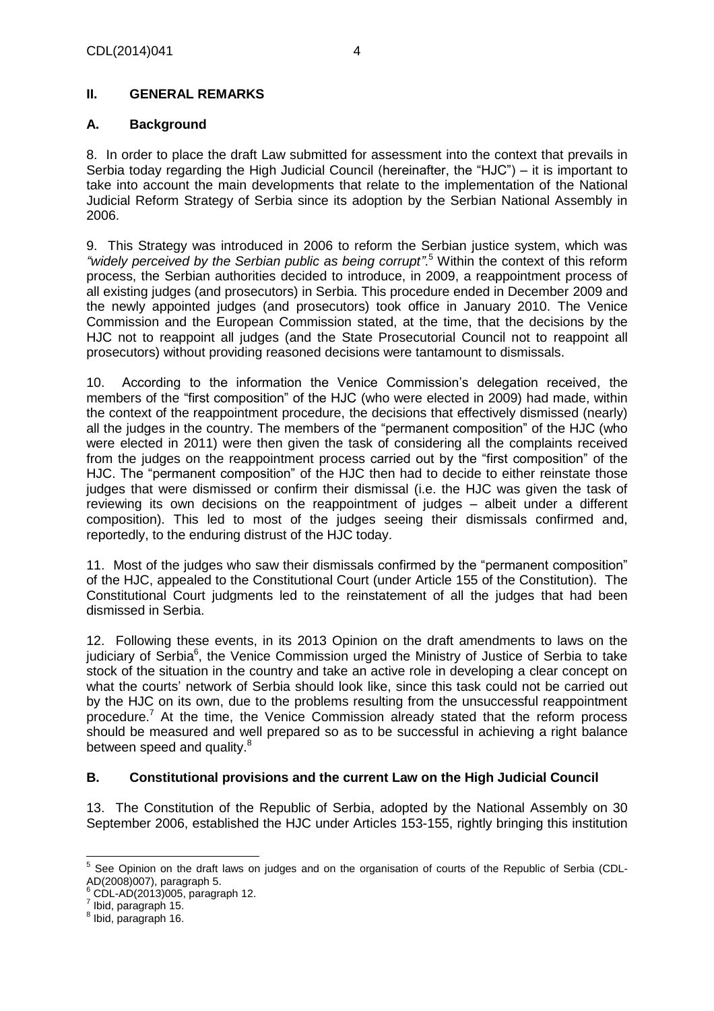## <span id="page-3-1"></span><span id="page-3-0"></span>**A. Background**

8. In order to place the draft Law submitted for assessment into the context that prevails in Serbia today regarding the High Judicial Council (hereinafter, the "HJC") – it is important to take into account the main developments that relate to the implementation of the National Judicial Reform Strategy of Serbia since its adoption by the Serbian National Assembly in 2006.

9. This Strategy was introduced in 2006 to reform the Serbian justice system, which was *"widely perceived by the Serbian public as being corrupt"*. <sup>5</sup> Within the context of this reform process, the Serbian authorities decided to introduce, in 2009, a reappointment process of all existing judges (and prosecutors) in Serbia. This procedure ended in December 2009 and the newly appointed judges (and prosecutors) took office in January 2010. The Venice Commission and the European Commission stated, at the time, that the decisions by the HJC not to reappoint all judges (and the State Prosecutorial Council not to reappoint all prosecutors) without providing reasoned decisions were tantamount to dismissals.

10. According to the information the Venice Commission's delegation received, the members of the "first composition" of the HJC (who were elected in 2009) had made, within the context of the reappointment procedure, the decisions that effectively dismissed (nearly) all the judges in the country. The members of the "permanent composition" of the HJC (who were elected in 2011) were then given the task of considering all the complaints received from the judges on the reappointment process carried out by the "first composition" of the HJC. The "permanent composition" of the HJC then had to decide to either reinstate those judges that were dismissed or confirm their dismissal (i.e. the HJC was given the task of reviewing its own decisions on the reappointment of judges – albeit under a different composition). This led to most of the judges seeing their dismissals confirmed and, reportedly, to the enduring distrust of the HJC today.

11. Most of the judges who saw their dismissals confirmed by the "permanent composition" of the HJC, appealed to the Constitutional Court (under Article 155 of the Constitution). The Constitutional Court judgments led to the reinstatement of all the judges that had been dismissed in Serbia.

12. Following these events, in its 2013 Opinion on the draft amendments to laws on the judiciary of Serbia<sup>6</sup>, the Venice Commission urged the Ministry of Justice of Serbia to take stock of the situation in the country and take an active role in developing a clear concept on what the courts' network of Serbia should look like, since this task could not be carried out by the HJC on its own, due to the problems resulting from the unsuccessful reappointment procedure.<sup>7</sup> At the time, the Venice Commission already stated that the reform process should be measured and well prepared so as to be successful in achieving a right balance between speed and quality. $^8$ 

## <span id="page-3-2"></span>**B. Constitutional provisions and the current Law on the High Judicial Council**

13. The Constitution of the Republic of Serbia, adopted by the National Assembly on 30 September 2006, established the HJC under Articles 153-155, rightly bringing this institution

 5 See Opinion on the draft laws on judges and on the organisation of courts of the Republic of Serbia (CDL-AD(2008)007), paragraph 5.

 $^6$  CDL-AD(2013)005, paragraph 12.

 $^7$  Ibid, paragraph 15.

<sup>8</sup> Ibid, paragraph 16.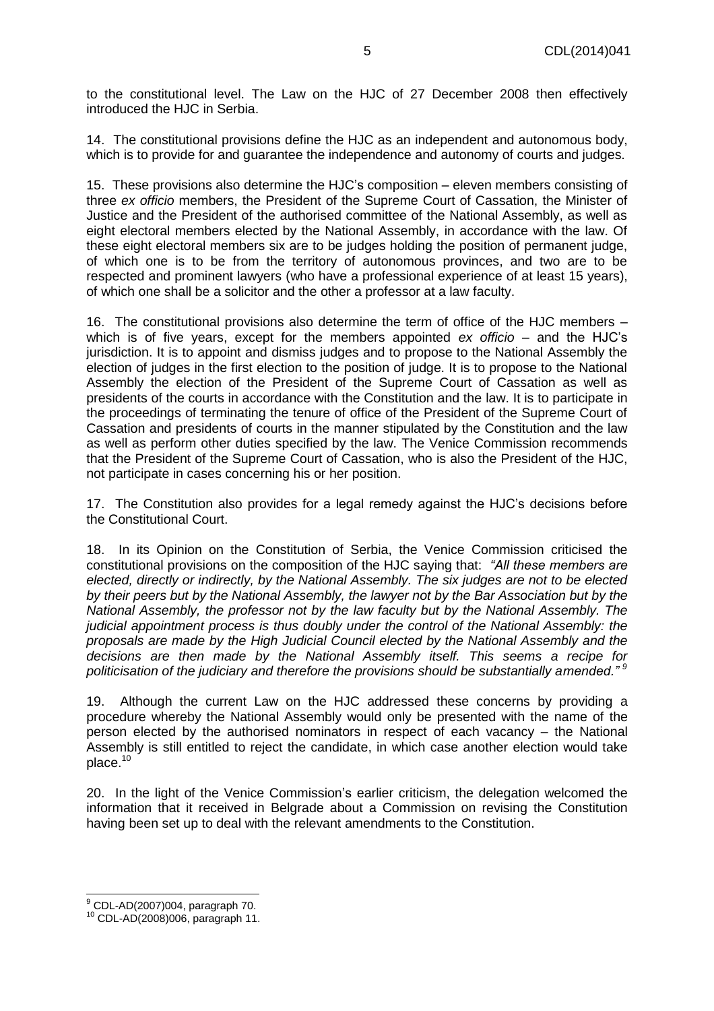to the constitutional level. The Law on the HJC of 27 December 2008 then effectively introduced the HJC in Serbia.

14. The constitutional provisions define the HJC as an independent and autonomous body, which is to provide for and guarantee the independence and autonomy of courts and judges.

15. These provisions also determine the HJC's composition – eleven members consisting of three *ex officio* members, the President of the Supreme Court of Cassation, the Minister of Justice and the President of the authorised committee of the National Assembly, as well as eight electoral members elected by the National Assembly, in accordance with the law. Of these eight electoral members six are to be judges holding the position of permanent judge, of which one is to be from the territory of autonomous provinces, and two are to be respected and prominent lawyers (who have a professional experience of at least 15 years), of which one shall be a solicitor and the other a professor at a law faculty.

16. The constitutional provisions also determine the term of office of the HJC members – which is of five years, except for the members appointed *ex officio* – and the HJC's jurisdiction. It is to appoint and dismiss judges and to propose to the National Assembly the election of judges in the first election to the position of judge. It is to propose to the National Assembly the election of the President of the Supreme Court of Cassation as well as presidents of the courts in accordance with the Constitution and the law. It is to participate in the proceedings of terminating the tenure of office of the President of the Supreme Court of Cassation and presidents of courts in the manner stipulated by the Constitution and the law as well as perform other duties specified by the law. The Venice Commission recommends that the President of the Supreme Court of Cassation, who is also the President of the HJC, not participate in cases concerning his or her position.

17. The Constitution also provides for a legal remedy against the HJC's decisions before the Constitutional Court.

18. In its Opinion on the Constitution of Serbia, the Venice Commission criticised the constitutional provisions on the composition of the HJC saying that: *"All these members are elected, directly or indirectly, by the National Assembly. The six judges are not to be elected by their peers but by the National Assembly, the lawyer not by the Bar Association but by the National Assembly, the professor not by the law faculty but by the National Assembly. The judicial appointment process is thus doubly under the control of the National Assembly: the proposals are made by the High Judicial Council elected by the National Assembly and the decisions are then made by the National Assembly itself. This seems a recipe for politicisation of the judiciary and therefore the provisions should be substantially amended." <sup>9</sup>*

19. Although the current Law on the HJC addressed these concerns by providing a procedure whereby the National Assembly would only be presented with the name of the person elected by the authorised nominators in respect of each vacancy – the National Assembly is still entitled to reject the candidate, in which case another election would take place.<sup>10</sup>

20. In the light of the Venice Commission's earlier criticism, the delegation welcomed the information that it received in Belgrade about a Commission on revising the Constitution having been set up to deal with the relevant amendments to the Constitution.

 $\overline{\phantom{a}}$  $^9$  CDL-AD(2007)004, paragraph 70.

<sup>10</sup> CDL-AD(2008)006, paragraph 11.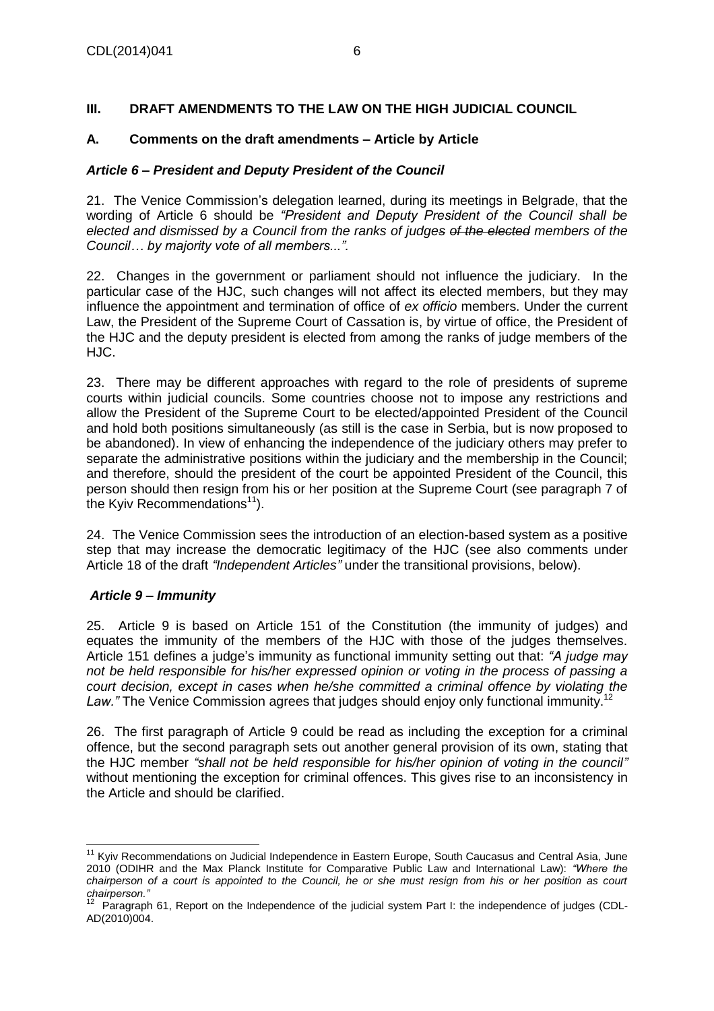## <span id="page-5-0"></span>**III. DRAFT AMENDMENTS TO THE LAW ON THE HIGH JUDICIAL COUNCIL**

## <span id="page-5-1"></span>**A. Comments on the draft amendments – Article by Article**

#### *Article 6 – President and Deputy President of the Council*

21. The Venice Commission's delegation learned, during its meetings in Belgrade, that the wording of Article 6 should be *"President and Deputy President of the Council shall be elected and dismissed by a Council from the ranks of judges of the elected members of the Council… by majority vote of all members...".* 

22. Changes in the government or parliament should not influence the judiciary. In the particular case of the HJC, such changes will not affect its elected members, but they may influence the appointment and termination of office of *ex officio* members. Under the current Law, the President of the Supreme Court of Cassation is, by virtue of office, the President of the HJC and the deputy president is elected from among the ranks of judge members of the HJC.

23. There may be different approaches with regard to the role of presidents of supreme courts within judicial councils. Some countries choose not to impose any restrictions and allow the President of the Supreme Court to be elected/appointed President of the Council and hold both positions simultaneously (as still is the case in Serbia, but is now proposed to be abandoned). In view of enhancing the independence of the judiciary others may prefer to separate the administrative positions within the judiciary and the membership in the Council; and therefore, should the president of the court be appointed President of the Council, this person should then resign from his or her position at the Supreme Court (see paragraph 7 of the Kyiv Recommendations<sup>11</sup>).

24. The Venice Commission sees the introduction of an election-based system as a positive step that may increase the democratic legitimacy of the HJC (see also comments under Article 18 of the draft *"Independent Articles"* under the transitional provisions, below).

## *Article 9 – Immunity*

25. Article 9 is based on Article 151 of the Constitution (the immunity of judges) and equates the immunity of the members of the HJC with those of the judges themselves. Article 151 defines a judge's immunity as functional immunity setting out that: *"A judge may not be held responsible for his/her expressed opinion or voting in the process of passing a court decision, except in cases when he/she committed a criminal offence by violating the*  Law." The Venice Commission agrees that judges should enjoy only functional immunity.<sup>12</sup>

26. The first paragraph of Article 9 could be read as including the exception for a criminal offence, but the second paragraph sets out another general provision of its own, stating that the HJC member *"shall not be held responsible for his/her opinion of voting in the council"* without mentioning the exception for criminal offences. This gives rise to an inconsistency in the Article and should be clarified.

 <sup>11</sup> Kyiv Recommendations on Judicial Independence in Eastern Europe, South Caucasus and Central Asia, June 2010 (ODIHR and the Max Planck Institute for Comparative Public Law and International Law): *"Where the*  chairperson of a court is appointed to the Council, he or she must resign from his or her position as court

*chairperson."*<br><sup>12</sup> Paragraph 61, Report on the Independence of the judicial system Part I: the independence of judges (CDL-AD(2010)004.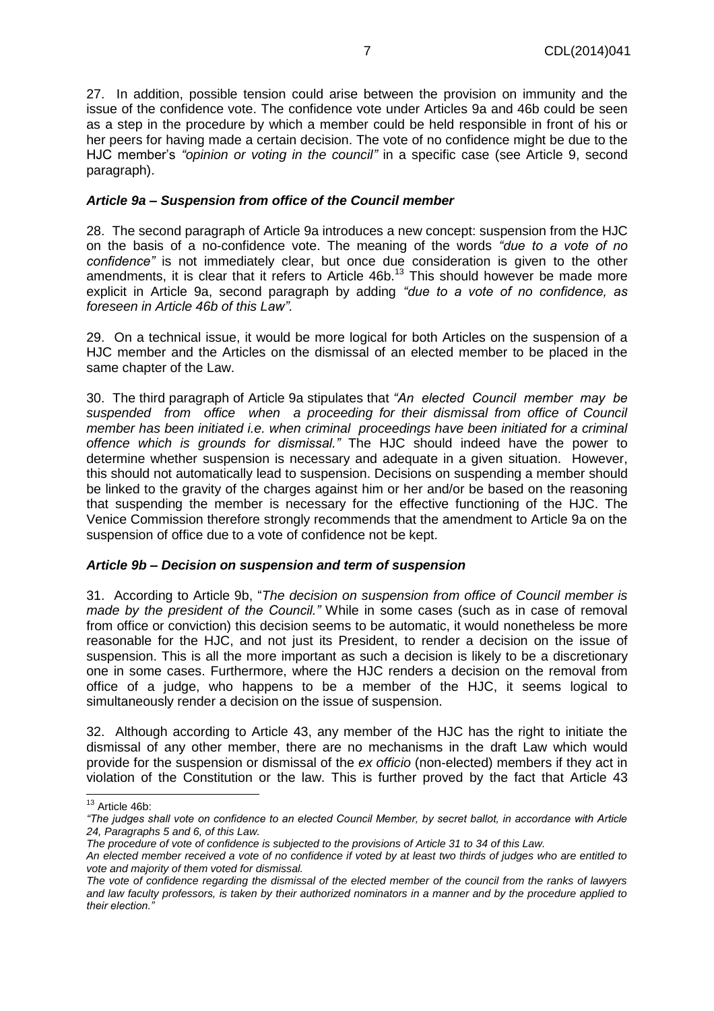27. In addition, possible tension could arise between the provision on immunity and the issue of the confidence vote. The confidence vote under Articles 9a and 46b could be seen as a step in the procedure by which a member could be held responsible in front of his or her peers for having made a certain decision. The vote of no confidence might be due to the HJC member's *"opinion or voting in the council"* in a specific case (see Article 9, second paragraph).

#### *Article 9a – Suspension from office of the Council member*

28. The second paragraph of Article 9a introduces a new concept: suspension from the HJC on the basis of a no-confidence vote. The meaning of the words *"due to a vote of no confidence"* is not immediately clear, but once due consideration is given to the other amendments, it is clear that it refers to Article 46b.<sup>13</sup> This should however be made more explicit in Article 9a, second paragraph by adding *"due to a vote of no confidence, as foreseen in Article 46b of this Law"*.

29. On a technical issue, it would be more logical for both Articles on the suspension of a HJC member and the Articles on the dismissal of an elected member to be placed in the same chapter of the Law.

30. The third paragraph of Article 9a stipulates that *"An elected Council member may be suspended from office when a proceeding for their dismissal from office of Council member has been initiated i.e. when criminal proceedings have been initiated for a criminal offence which is grounds for dismissal."* The HJC should indeed have the power to determine whether suspension is necessary and adequate in a given situation. However, this should not automatically lead to suspension. Decisions on suspending a member should be linked to the gravity of the charges against him or her and/or be based on the reasoning that suspending the member is necessary for the effective functioning of the HJC. The Venice Commission therefore strongly recommends that the amendment to Article 9a on the suspension of office due to a vote of confidence not be kept.

#### *Article 9b – Decision on suspension and term of suspension*

31. According to Article 9b, "*The decision on suspension from office of Council member is made by the president of the Council."* While in some cases (such as in case of removal from office or conviction) this decision seems to be automatic, it would nonetheless be more reasonable for the HJC, and not just its President, to render a decision on the issue of suspension. This is all the more important as such a decision is likely to be a discretionary one in some cases. Furthermore, where the HJC renders a decision on the removal from office of a judge, who happens to be a member of the HJC, it seems logical to simultaneously render a decision on the issue of suspension.

32. Although according to Article 43, any member of the HJC has the right to initiate the dismissal of any other member, there are no mechanisms in the draft Law which would provide for the suspension or dismissal of the *ex officio* (non-elected) members if they act in violation of the Constitution or the law. This is further proved by the fact that Article 43

j  $13$  Article 46b:

*<sup>&</sup>quot;The judges shall vote on confidence to an elected Council Member, by secret ballot, in accordance with Article 24, Paragraphs 5 and 6, of this Law.*

*The procedure of vote of confidence is subjected to the provisions of Article 31 to 34 of this Law.*

*An elected member received a vote of no confidence if voted by at least two thirds of judges who are entitled to vote and majority of them voted for dismissal.*

*The vote of confidence regarding the dismissal of the elected member of the council from the ranks of lawyers and law faculty professors, is taken by their authorized nominators in a manner and by the procedure applied to their election."*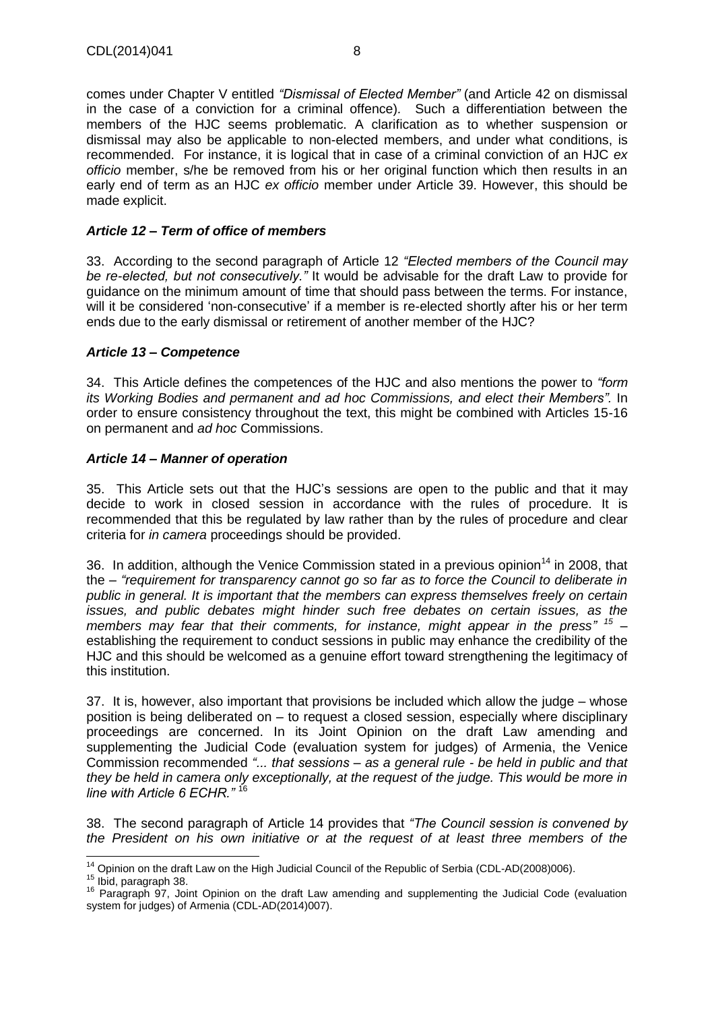comes under Chapter V entitled *"Dismissal of Elected Member"* (and Article 42 on dismissal in the case of a conviction for a criminal offence)*.* Such a differentiation between the members of the HJC seems problematic. A clarification as to whether suspension or dismissal may also be applicable to non-elected members, and under what conditions, is recommended. For instance, it is logical that in case of a criminal conviction of an HJC *ex officio* member, s/he be removed from his or her original function which then results in an early end of term as an HJC *ex officio* member under Article 39. However, this should be made explicit.

## *Article 12 – Term of office of members*

33. According to the second paragraph of Article 12 *"Elected members of the Council may be re-elected, but not consecutively."* It would be advisable for the draft Law to provide for guidance on the minimum amount of time that should pass between the terms. For instance, will it be considered 'non-consecutive' if a member is re-elected shortly after his or her term ends due to the early dismissal or retirement of another member of the HJC?

#### *Article 13 – Competence*

34. This Article defines the competences of the HJC and also mentions the power to *"form its Working Bodies and permanent and ad hoc Commissions, and elect their Members".* In order to ensure consistency throughout the text, this might be combined with Articles 15-16 on permanent and *ad hoc* Commissions.

#### *Article 14 – Manner of operation*

35. This Article sets out that the HJC's sessions are open to the public and that it may decide to work in closed session in accordance with the rules of procedure. It is recommended that this be regulated by law rather than by the rules of procedure and clear criteria for *in camera* proceedings should be provided.

36. In addition, although the Venice Commission stated in a previous opinion<sup>14</sup> in 2008, that the *– "requirement for transparency cannot go so far as to force the Council to deliberate in public in general. It is important that the members can express themselves freely on certain issues, and public debates might hinder such free debates on certain issues, as the members may fear that their comments, for instance, might appear in the press" 15* – establishing the requirement to conduct sessions in public may enhance the credibility of the HJC and this should be welcomed as a genuine effort toward strengthening the legitimacy of this institution.

37. It is, however, also important that provisions be included which allow the judge – whose position is being deliberated on – to request a closed session, especially where disciplinary proceedings are concerned. In its Joint Opinion on the draft Law amending and supplementing the Judicial Code (evaluation system for judges) of Armenia, the Venice Commission recommended *"... that sessions – as a general rule - be held in public and that they be held in camera only exceptionally, at the request of the judge. This would be more in line with Article 6 ECHR."* <sup>16</sup>

38. The second paragraph of Article 14 provides that *"The Council session is convened by the President on his own initiative or at the request of at least three members of the* 

j  $14$  Opinion on the draft Law on the High Judicial Council of the Republic of Serbia (CDL-AD(2008)006).

<sup>15</sup> Ibid, paragraph 38.

<sup>&</sup>lt;sup>16</sup> Paragraph 97, Joint Opinion on the draft Law amending and supplementing the Judicial Code (evaluation system for judges) of Armenia (CDL-AD(2014)007).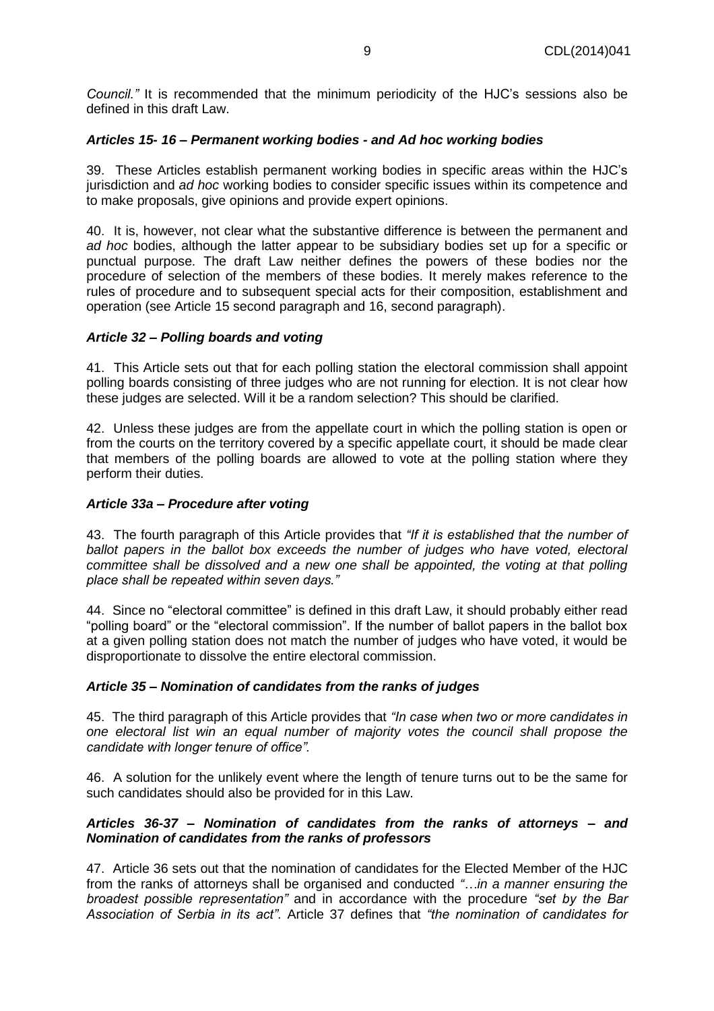*Council."* It is recommended that the minimum periodicity of the HJC's sessions also be defined in this draft Law.

#### *Articles 15- 16 – Permanent working bodies - and Ad hoc working bodies*

39. These Articles establish permanent working bodies in specific areas within the HJC's jurisdiction and *ad hoc* working bodies to consider specific issues within its competence and to make proposals, give opinions and provide expert opinions.

40. It is, however, not clear what the substantive difference is between the permanent and *ad hoc* bodies, although the latter appear to be subsidiary bodies set up for a specific or punctual purpose. The draft Law neither defines the powers of these bodies nor the procedure of selection of the members of these bodies. It merely makes reference to the rules of procedure and to subsequent special acts for their composition, establishment and operation (see Article 15 second paragraph and 16, second paragraph).

#### *Article 32 – Polling boards and voting*

41. This Article sets out that for each polling station the electoral commission shall appoint polling boards consisting of three judges who are not running for election. It is not clear how these judges are selected. Will it be a random selection? This should be clarified.

42. Unless these judges are from the appellate court in which the polling station is open or from the courts on the territory covered by a specific appellate court, it should be made clear that members of the polling boards are allowed to vote at the polling station where they perform their duties.

#### *Article 33a – Procedure after voting*

43. The fourth paragraph of this Article provides that *"If it is established that the number of ballot papers in the ballot box exceeds the number of judges who have voted, electoral committee shall be dissolved and a new one shall be appointed, the voting at that polling place shall be repeated within seven days."*

44. Since no "electoral committee" is defined in this draft Law, it should probably either read "polling board" or the "electoral commission". If the number of ballot papers in the ballot box at a given polling station does not match the number of judges who have voted, it would be disproportionate to dissolve the entire electoral commission.

#### *Article 35 – Nomination of candidates from the ranks of judges*

45. The third paragraph of this Article provides that *"In case when two or more candidates in one electoral list win an equal number of majority votes the council shall propose the candidate with longer tenure of office".* 

46. A solution for the unlikely event where the length of tenure turns out to be the same for such candidates should also be provided for in this Law.

#### *Articles 36-37 – Nomination of candidates from the ranks of attorneys – and Nomination of candidates from the ranks of professors*

47. Article 36 sets out that the nomination of candidates for the Elected Member of the HJC from the ranks of attorneys shall be organised and conducted *"…in a manner ensuring the broadest possible representation"* and in accordance with the procedure *"set by the Bar Association of Serbia in its act"*. Article 37 defines that *"the nomination of candidates for*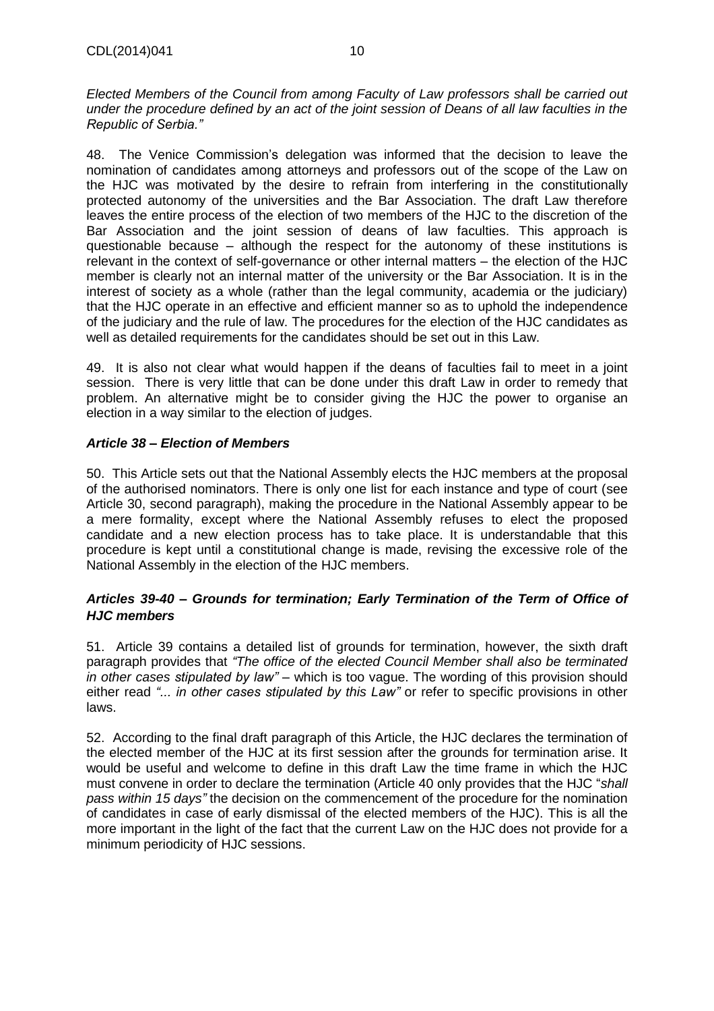*Elected Members of the Council from among Faculty of Law professors shall be carried out under the procedure defined by an act of the joint session of Deans of all law faculties in the Republic of Serbia."*

48. The Venice Commission's delegation was informed that the decision to leave the nomination of candidates among attorneys and professors out of the scope of the Law on the HJC was motivated by the desire to refrain from interfering in the constitutionally protected autonomy of the universities and the Bar Association. The draft Law therefore leaves the entire process of the election of two members of the HJC to the discretion of the Bar Association and the joint session of deans of law faculties. This approach is questionable because – although the respect for the autonomy of these institutions is relevant in the context of self-governance or other internal matters – the election of the HJC member is clearly not an internal matter of the university or the Bar Association. It is in the interest of society as a whole (rather than the legal community, academia or the judiciary) that the HJC operate in an effective and efficient manner so as to uphold the independence of the judiciary and the rule of law. The procedures for the election of the HJC candidates as well as detailed requirements for the candidates should be set out in this Law.

49. It is also not clear what would happen if the deans of faculties fail to meet in a joint session. There is very little that can be done under this draft Law in order to remedy that problem. An alternative might be to consider giving the HJC the power to organise an election in a way similar to the election of judges.

## *Article 38 – Election of Members*

50. This Article sets out that the National Assembly elects the HJC members at the proposal of the authorised nominators. There is only one list for each instance and type of court (see Article 30, second paragraph), making the procedure in the National Assembly appear to be a mere formality, except where the National Assembly refuses to elect the proposed candidate and a new election process has to take place. It is understandable that this procedure is kept until a constitutional change is made, revising the excessive role of the National Assembly in the election of the HJC members.

## *Articles 39-40 – Grounds for termination; Early Termination of the Term of Office of HJC members*

51. Article 39 contains a detailed list of grounds for termination, however, the sixth draft paragraph provides that *"The office of the elected Council Member shall also be terminated in other cases stipulated by law"* – which is too vague. The wording of this provision should either read *"... in other cases stipulated by this Law"* or refer to specific provisions in other laws.

52. According to the final draft paragraph of this Article, the HJC declares the termination of the elected member of the HJC at its first session after the grounds for termination arise. It would be useful and welcome to define in this draft Law the time frame in which the HJC must convene in order to declare the termination (Article 40 only provides that the HJC "*shall pass within 15 days"* the decision on the commencement of the procedure for the nomination of candidates in case of early dismissal of the elected members of the HJC). This is all the more important in the light of the fact that the current Law on the HJC does not provide for a minimum periodicity of HJC sessions.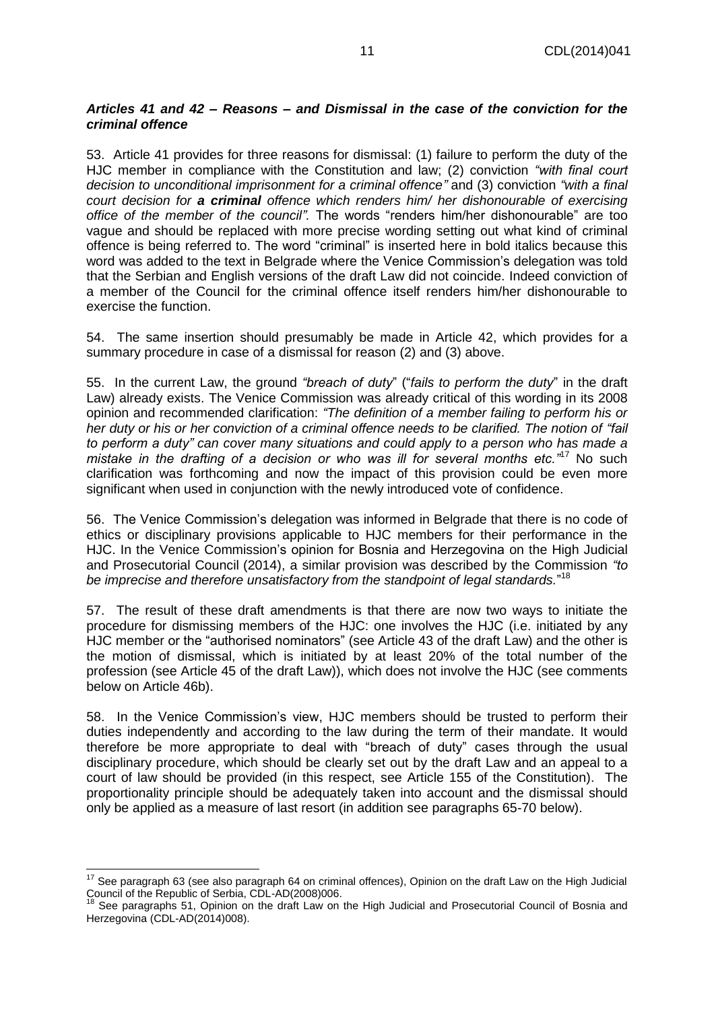## *Articles 41 and 42 – Reasons – and Dismissal in the case of the conviction for the criminal offence*

53. Article 41 provides for three reasons for dismissal: (1) failure to perform the duty of the HJC member in compliance with the Constitution and law; (2) conviction *"with final court decision to unconditional imprisonment for a criminal offence"* and (3) conviction *"with a final court decision for a criminal offence which renders him/ her dishonourable of exercising office of the member of the council".* The words "renders him/her dishonourable" are too vague and should be replaced with more precise wording setting out what kind of criminal offence is being referred to. The word "criminal" is inserted here in bold italics because this word was added to the text in Belgrade where the Venice Commission's delegation was told that the Serbian and English versions of the draft Law did not coincide. Indeed conviction of a member of the Council for the criminal offence itself renders him/her dishonourable to exercise the function.

54. The same insertion should presumably be made in Article 42, which provides for a summary procedure in case of a dismissal for reason (2) and (3) above.

55. In the current Law, the ground *"breach of duty*" ("*fails to perform the duty*" in the draft Law) already exists. The Venice Commission was already critical of this wording in its 2008 opinion and recommended clarification: *"The definition of a member failing to perform his or her duty or his or her conviction of a criminal offence needs to be clarified. The notion of "fail to perform a duty" can cover many situations and could apply to a person who has made a mistake in the drafting of a decision or who was ill for several months etc.*<sup>"17</sup> No such clarification was forthcoming and now the impact of this provision could be even more significant when used in conjunction with the newly introduced vote of confidence.

56. The Venice Commission's delegation was informed in Belgrade that there is no code of ethics or disciplinary provisions applicable to HJC members for their performance in the HJC. In the Venice Commission's opinion for Bosnia and Herzegovina on the High Judicial and Prosecutorial Council (2014), a similar provision was described by the Commission *"to be imprecise and therefore unsatisfactory from the standpoint of legal standards.*" 18

57. The result of these draft amendments is that there are now two ways to initiate the procedure for dismissing members of the HJC: one involves the HJC (i.e. initiated by any HJC member or the "authorised nominators" (see Article 43 of the draft Law) and the other is the motion of dismissal, which is initiated by at least 20% of the total number of the profession (see Article 45 of the draft Law)), which does not involve the HJC (see comments below on Article 46b).

58. In the Venice Commission's view, HJC members should be trusted to perform their duties independently and according to the law during the term of their mandate. It would therefore be more appropriate to deal with "breach of duty" cases through the usual disciplinary procedure, which should be clearly set out by the draft Law and an appeal to a court of law should be provided (in this respect, see Article 155 of the Constitution). The proportionality principle should be adequately taken into account and the dismissal should only be applied as a measure of last resort (in addition see paragraphs 65-70 below).

  $17$  See paragraph 63 (see also paragraph 64 on criminal offences), Opinion on the draft Law on the High Judicial Council of the Republic of Serbia, CDL-AD(2008)006.

See paragraphs 51, Opinion on the draft Law on the High Judicial and Prosecutorial Council of Bosnia and Herzegovina (CDL-AD(2014)008).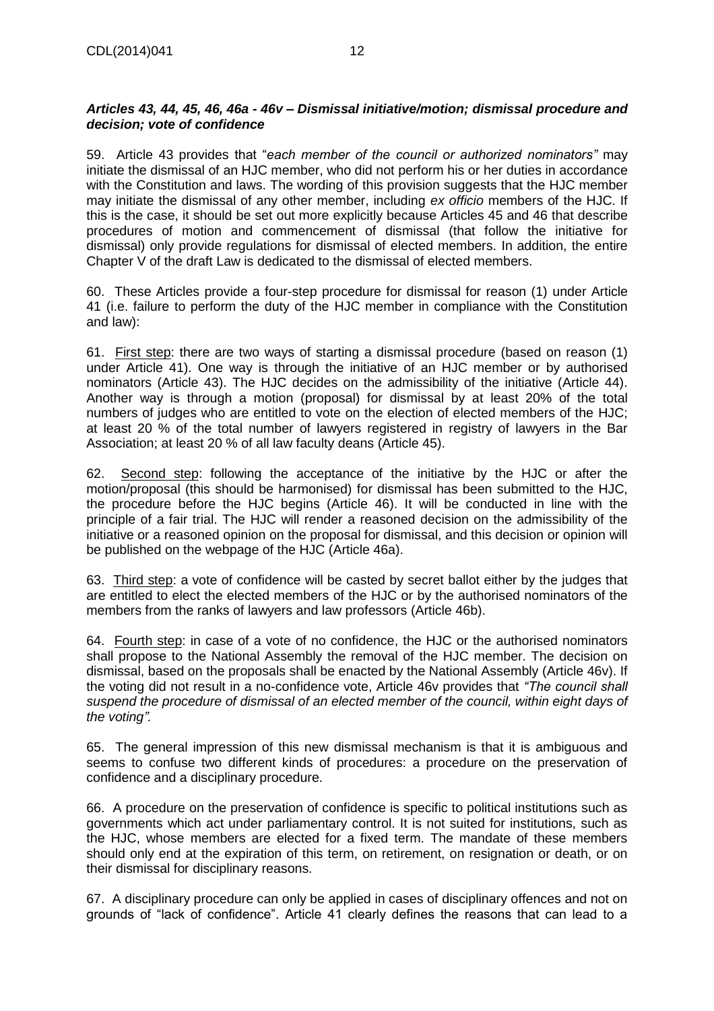## *Articles 43, 44, 45, 46, 46a - 46v – Dismissal initiative/motion; dismissal procedure and decision; vote of confidence*

59. Article 43 provides that "*each member of the council or authorized nominators"* may initiate the dismissal of an HJC member, who did not perform his or her duties in accordance with the Constitution and laws. The wording of this provision suggests that the HJC member may initiate the dismissal of any other member, including *ex officio* members of the HJC. If this is the case, it should be set out more explicitly because Articles 45 and 46 that describe procedures of motion and commencement of dismissal (that follow the initiative for dismissal) only provide regulations for dismissal of elected members. In addition, the entire Chapter V of the draft Law is dedicated to the dismissal of elected members.

60. These Articles provide a four-step procedure for dismissal for reason (1) under Article 41 (i.e. failure to perform the duty of the HJC member in compliance with the Constitution and law):

61. First step: there are two ways of starting a dismissal procedure (based on reason (1) under Article 41). One way is through the initiative of an HJC member or by authorised nominators (Article 43). The HJC decides on the admissibility of the initiative (Article 44). Another way is through a motion (proposal) for dismissal by at least 20% of the total numbers of judges who are entitled to vote on the election of elected members of the HJC; at least 20 % of the total number of lawyers registered in registry of lawyers in the Bar Association; at least 20 % of all law faculty deans (Article 45).

62. Second step: following the acceptance of the initiative by the HJC or after the motion/proposal (this should be harmonised) for dismissal has been submitted to the HJC, the procedure before the HJC begins (Article 46). It will be conducted in line with the principle of a fair trial. The HJC will render a reasoned decision on the admissibility of the initiative or a reasoned opinion on the proposal for dismissal, and this decision or opinion will be published on the webpage of the HJC (Article 46a).

63. Third step: a vote of confidence will be casted by secret ballot either by the judges that are entitled to elect the elected members of the HJC or by the authorised nominators of the members from the ranks of lawyers and law professors (Article 46b).

64. Fourth step: in case of a vote of no confidence, the HJC or the authorised nominators shall propose to the National Assembly the removal of the HJC member. The decision on dismissal, based on the proposals shall be enacted by the National Assembly (Article 46v). If the voting did not result in a no-confidence vote, Article 46v provides that *"The council shall suspend the procedure of dismissal of an elected member of the council, within eight days of the voting".*

65. The general impression of this new dismissal mechanism is that it is ambiguous and seems to confuse two different kinds of procedures: a procedure on the preservation of confidence and a disciplinary procedure.

66. A procedure on the preservation of confidence is specific to political institutions such as governments which act under parliamentary control. It is not suited for institutions, such as the HJC, whose members are elected for a fixed term. The mandate of these members should only end at the expiration of this term, on retirement, on resignation or death, or on their dismissal for disciplinary reasons.

67. A disciplinary procedure can only be applied in cases of disciplinary offences and not on grounds of "lack of confidence". Article 41 clearly defines the reasons that can lead to a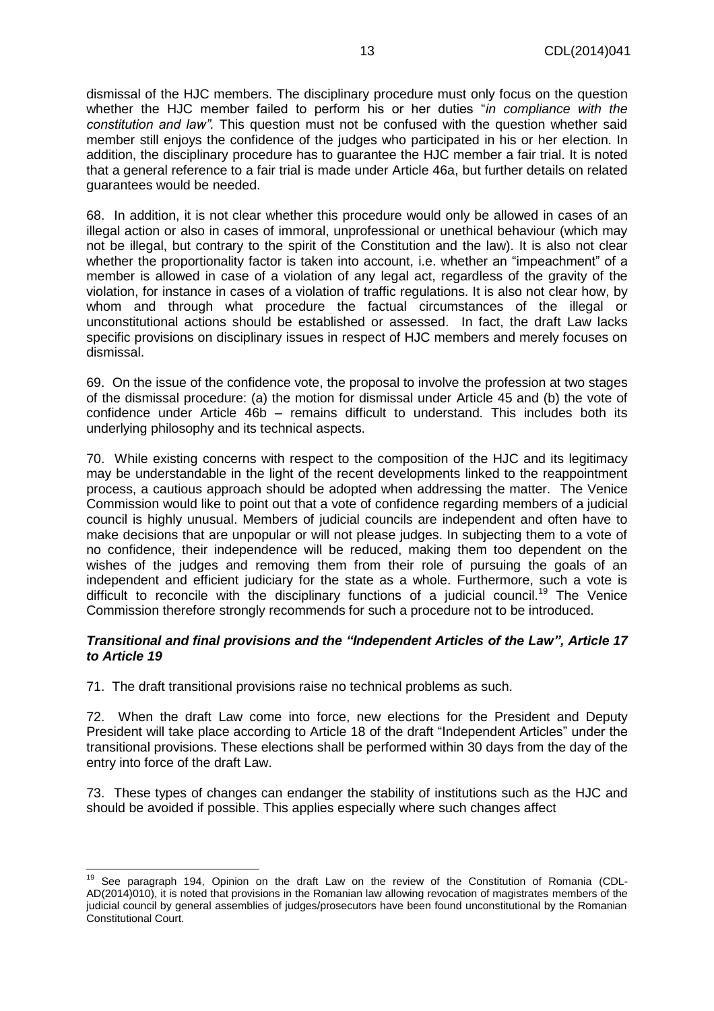dismissal of the HJC members. The disciplinary procedure must only focus on the question whether the HJC member failed to perform his or her duties "*in compliance with the constitution and law".* This question must not be confused with the question whether said member still enjoys the confidence of the judges who participated in his or her election. In addition, the disciplinary procedure has to guarantee the HJC member a fair trial. It is noted that a general reference to a fair trial is made under Article 46a, but further details on related guarantees would be needed.

68. In addition, it is not clear whether this procedure would only be allowed in cases of an illegal action or also in cases of immoral, unprofessional or unethical behaviour (which may not be illegal, but contrary to the spirit of the Constitution and the law). It is also not clear whether the proportionality factor is taken into account, i.e. whether an "impeachment" of a member is allowed in case of a violation of any legal act, regardless of the gravity of the violation, for instance in cases of a violation of traffic regulations. It is also not clear how, by whom and through what procedure the factual circumstances of the illegal or unconstitutional actions should be established or assessed. In fact, the draft Law lacks specific provisions on disciplinary issues in respect of HJC members and merely focuses on dismissal.

69. On the issue of the confidence vote, the proposal to involve the profession at two stages of the dismissal procedure: (a) the motion for dismissal under Article 45 and (b) the vote of confidence under Article 46b – remains difficult to understand. This includes both its underlying philosophy and its technical aspects.

70. While existing concerns with respect to the composition of the HJC and its legitimacy may be understandable in the light of the recent developments linked to the reappointment process, a cautious approach should be adopted when addressing the matter. The Venice Commission would like to point out that a vote of confidence regarding members of a judicial council is highly unusual. Members of judicial councils are independent and often have to make decisions that are unpopular or will not please judges. In subjecting them to a vote of no confidence, their independence will be reduced, making them too dependent on the wishes of the judges and removing them from their role of pursuing the goals of an independent and efficient judiciary for the state as a whole. Furthermore, such a vote is difficult to reconcile with the disciplinary functions of a judicial council.<sup>19</sup> The Venice Commission therefore strongly recommends for such a procedure not to be introduced.

#### *Transitional and final provisions and the "Independent Articles of the Law", Article 17 to Article 19*

71. The draft transitional provisions raise no technical problems as such.

72. When the draft Law come into force, new elections for the President and Deputy President will take place according to Article 18 of the draft "Independent Articles" under the transitional provisions. These elections shall be performed within 30 days from the day of the entry into force of the draft Law.

73. These types of changes can endanger the stability of institutions such as the HJC and should be avoided if possible. This applies especially where such changes affect

<sup>&</sup>lt;sup>19</sup> See paragraph 194, Opinion on the draft Law on the review of the Constitution of Romania (CDL-AD(2014)010), it is noted that provisions in the Romanian law allowing revocation of magistrates members of the judicial council by general assemblies of judges/prosecutors have been found unconstitutional by the Romanian Constitutional Court.